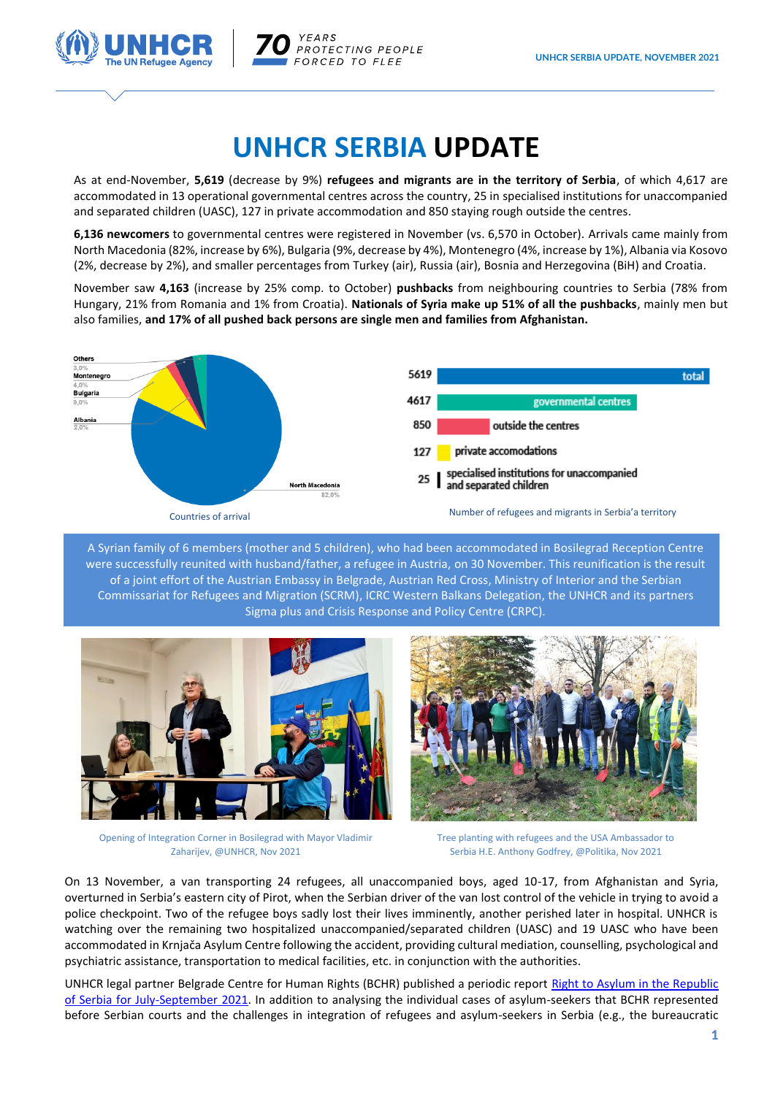

YEARS PROTECTING PEOPLE FORCED TO FLEE

## **UNHCR SERBIA UPDATE**

As at end-November, **5,619** (decrease by 9%) **refugees and migrants are in the territory of Serbia**, of which 4,617 are accommodated in 13 operational governmental centres across the country, 25 in specialised institutions for unaccompanied and separated children (UASC), 127 in private accommodation and 850 staying rough outside the centres.

**6,136 newcomers** to governmental centres were registered in November (vs. 6,570 in October). Arrivals came mainly from North Macedonia (82%, increase by 6%), Bulgaria (9%, decrease by 4%), Montenegro (4%, increase by 1%), Albania via Kosovo (2%, decrease by 2%), and smaller percentages from Turkey (air), Russia (air), Bosnia and Herzegovina (BiH) and Croatia.

November saw **4,163** (increase by 25% comp. to October) **pushbacks** from neighbouring countries to Serbia (78% from Hungary, 21% from Romania and 1% from Croatia). **Nationals of Syria make up 51% of all the pushbacks**, mainly men but also families, **and 17% of all pushed back persons are single men and families from Afghanistan.**



A Syrian family of 6 members (mother and 5 children), who had been accommodated in Bosilegrad Reception Centre were successfully reunited with husband/father, a refugee in Austria, on 30 November. This reunification is the result of a joint effort of the Austrian Embassy in Belgrade, Austrian Red Cross, Ministry of Interior and the Serbian Commissariat for Refugees and Migration (SCRM), ICRC Western Balkans Delegation, the UNHCR and its partners Sigma plus and Crisis Response and Policy Centre (CRPC).



Opening of Integration Corner in Bosilegrad with Mayor Vladimir Zaharijev, @UNHCR, Nov 2021

Tree planting with refugees and the USA Ambassador to Serbia H.E. Anthony Godfrey, @Politika, Nov 2021

On 13 November, a van transporting 24 refugees, all unaccompanied boys, aged 10-17, from Afghanistan and Syria, overturned in Serbia's eastern city of Pirot, when the Serbian driver of the van lost control of the vehicle in trying to avoid a police checkpoint. Two of the refugee boys sadly lost their lives imminently, another perished later in hospital. UNHCR is watching over the remaining two hospitalized unaccompanied/separated children (UASC) and 19 UASC who have been accommodated in Krnjača Asylum Centre following the accident, providing cultural mediation, counselling, psychological and psychiatric assistance, transportation to medical facilities, etc. in conjunction with the authorities.

UNHCR legal partner Belgrade Centre for Human Rights (BCHR) published a periodic report [Right to Asylum in the Republic](https://eur02.safelinks.protection.outlook.com/?url=http%3A%2F%2Fwww.bgcentar.org.rs%2Fbgcentar%2Fwp-content%2Fuploads%2F2021%2F11%2FPeriodi%25C4%258Dni-izve%25C5%25A1taj-jul-septembar-2021.pdf&data=04%7C01%7CDRAGOVIC%40unhcr.org%7Cf1d060dfb0fd46b74c5708d9ae964d7f%7Ce5c37981666441348a0c6543d2af80be%7C0%7C0%7C637732782827036515%7CUnknown%7CTWFpbGZsb3d8eyJWIjoiMC4wLjAwMDAiLCJQIjoiV2luMzIiLCJBTiI6Ik1haWwiLCJXVCI6Mn0%3D%7C3000&sdata=at4SujQ02gHfECkxy09rOJPt08%2BHsOX6G9shK3FH8hU%3D&reserved=0)  [of Serbia for July-September 2021.](https://eur02.safelinks.protection.outlook.com/?url=http%3A%2F%2Fwww.bgcentar.org.rs%2Fbgcentar%2Fwp-content%2Fuploads%2F2021%2F11%2FPeriodi%25C4%258Dni-izve%25C5%25A1taj-jul-septembar-2021.pdf&data=04%7C01%7CDRAGOVIC%40unhcr.org%7Cf1d060dfb0fd46b74c5708d9ae964d7f%7Ce5c37981666441348a0c6543d2af80be%7C0%7C0%7C637732782827036515%7CUnknown%7CTWFpbGZsb3d8eyJWIjoiMC4wLjAwMDAiLCJQIjoiV2luMzIiLCJBTiI6Ik1haWwiLCJXVCI6Mn0%3D%7C3000&sdata=at4SujQ02gHfECkxy09rOJPt08%2BHsOX6G9shK3FH8hU%3D&reserved=0) In addition to analysing the individual cases of asylum-seekers that BCHR represented before Serbian courts and the challenges in integration of refugees and asylum-seekers in Serbia (e.g., the bureaucratic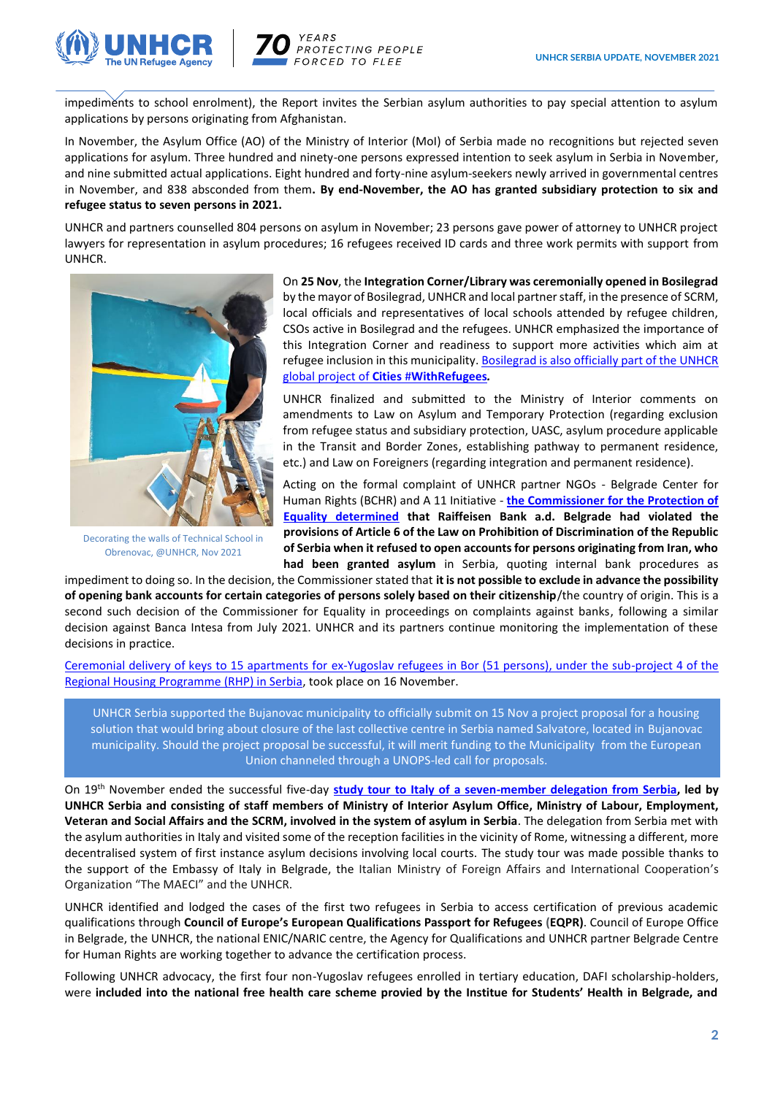

**EARS** PROTECTING PEOPLE ORCED TO FLEE

impediments to school enrolment), the Report invites the Serbian asylum authorities to pay special attention to asylum applications by persons originating from Afghanistan.

In November, the Asylum Office (AO) of the Ministry of Interior (MoI) of Serbia made no recognitions but rejected seven applications for asylum. Three hundred and ninety-one persons expressed intention to seek asylum in Serbia in November, and nine submitted actual applications. Eight hundred and forty-nine asylum-seekers newly arrived in governmental centres in November, and 838 absconded from them**. By end-November, the AO has granted subsidiary protection to six and refugee status to seven persons in 2021.**

UNHCR and partners counselled 804 persons on asylum in November; 23 persons gave power of attorney to UNHCR project lawyers for representation in asylum procedures; 16 refugees received ID cards and three work permits with support from UNHCR.



Decorating the walls of Technical School in Obrenovac, @UNHCR, Nov 2021

On **25 Nov**, the **Integration Corner/Library was ceremonially opened in Bosilegrad** by the mayor of Bosilegrad, UNHCR and local partner staff, in the presence of SCRM, local officials and representatives of local schools attended by refugee children, CSOs active in Bosilegrad and the refugees. UNHCR emphasized the importance of this Integration Corner and readiness to support more activities which aim at refugee inclusion in this municipality. [Bosilegrad is also officially part of the UNHCR](https://eur02.safelinks.protection.outlook.com/?url=https%3A%2F%2Fwww.unhcr.org%2Fwithrefugees%2Fcities%2F&data=04%7C01%7CDRAGOVIC%40unhcr.org%7C3ce6c73528564d91eecc08d9b3f6e0fd%7Ce5c37981666441348a0c6543d2af80be%7C0%7C0%7C637738695188319085%7CUnknown%7CTWFpbGZsb3d8eyJWIjoiMC4wLjAwMDAiLCJQIjoiV2luMzIiLCJBTiI6Ik1haWwiLCJXVCI6Mn0%3D%7C3000&sdata=NhOeLild7g0r6TZ3WCpa%2F%2FWJv9V0RClZISCYDKDC0BI%3D&reserved=0)  global project of **Cities** #**[WithRefugees](https://eur02.safelinks.protection.outlook.com/?url=https%3A%2F%2Fwww.unhcr.org%2Fwithrefugees%2Fcities%2F&data=04%7C01%7CDRAGOVIC%40unhcr.org%7C3ce6c73528564d91eecc08d9b3f6e0fd%7Ce5c37981666441348a0c6543d2af80be%7C0%7C0%7C637738695188319085%7CUnknown%7CTWFpbGZsb3d8eyJWIjoiMC4wLjAwMDAiLCJQIjoiV2luMzIiLCJBTiI6Ik1haWwiLCJXVCI6Mn0%3D%7C3000&sdata=NhOeLild7g0r6TZ3WCpa%2F%2FWJv9V0RClZISCYDKDC0BI%3D&reserved=0)***.*

UNHCR finalized and submitted to the Ministry of Interior comments on amendments to Law on Asylum and Temporary Protection (regarding exclusion from refugee status and subsidiary protection, UASC, asylum procedure applicable in the Transit and Border Zones, establishing pathway to permanent residence, etc.) and Law on Foreigners (regarding integration and permanent residence).

Acting on the formal complaint of UNHCR partner NGOs - Belgrade Center for Human Rights (BCHR) and A 11 Initiative - **[the Commissioner for the Protection of](http://www.bgcentar.org.rs/bgcentar/eng-lat/the-commissioner-for-the-protection-of-equality-finds-that-raiffeisen-bank-discriminated-against-refugees/)  [Equality determined](http://www.bgcentar.org.rs/bgcentar/eng-lat/the-commissioner-for-the-protection-of-equality-finds-that-raiffeisen-bank-discriminated-against-refugees/) that Raiffeisen Bank a.d. Belgrade had violated the provisions of Article 6 of the Law on Prohibition of Discrimination of the Republic of Serbia when it refused to open accounts for persons originating from Iran, who had been granted asylum** in Serbia, quoting internal bank procedures as

impediment to doing so. In the decision, the Commissioner stated that **it is not possible to exclude in advance the possibility of opening bank accounts for certain categories of persons solely based on their citizenship**/the country of origin. This is [a](https://eur02.safelinks.protection.outlook.com/?url=http%3A%2F%2Fwww.bgcentar.org.rs%2Fbgcentar%2Feng-lat%2Fequality-commissioner-finds-banca-intesa-discriminated-against-refugees-and-asylum-seekers%2F&data=04%7C01%7CDRAGOVIC%40unhcr.org%7C9c4582bd97d247ad690708d9a36e8dfe%7Ce5c37981666441348a0c6543d2af80be%7C0%7C0%7C637720517518191305%7CUnknown%7CTWFpbGZsb3d8eyJWIjoiMC4wLjAwMDAiLCJQIjoiV2luMzIiLCJBTiI6Ik1haWwiLCJXVCI6Mn0%3D%7C1000&sdata=17HKlrNnVJxyt0UPl4YFlgDceouAduWbtDKiovt6fN0%3D&reserved=0) [second such decision of the Commissioner for Equality in proceedings on complaints against banks,](https://eur02.safelinks.protection.outlook.com/?url=http%3A%2F%2Fwww.bgcentar.org.rs%2Fbgcentar%2Feng-lat%2Fequality-commissioner-finds-banca-intesa-discriminated-against-refugees-and-asylum-seekers%2F&data=04%7C01%7CDRAGOVIC%40unhcr.org%7C9c4582bd97d247ad690708d9a36e8dfe%7Ce5c37981666441348a0c6543d2af80be%7C0%7C0%7C637720517518191305%7CUnknown%7CTWFpbGZsb3d8eyJWIjoiMC4wLjAwMDAiLCJQIjoiV2luMzIiLCJBTiI6Ik1haWwiLCJXVCI6Mn0%3D%7C1000&sdata=17HKlrNnVJxyt0UPl4YFlgDceouAduWbtDKiovt6fN0%3D&reserved=0) following a similar decision against Banca Intesa from July 2021. UNHCR and its partners continue monitoring the implementation of these decisions in practice.

[Ceremonial delivery of keys to 15 apartments for ex-Yugoslav refugees in Bor \(51 persons\), under the sub-project 4 of the](https://twitter.com/UNHCRSerbia/status/1460986618127466497)  [Regional Housing Programme \(RHP\) in Serbia,](https://twitter.com/UNHCRSerbia/status/1460986618127466497) took place on 16 November.

UNHCR Serbia supported the Bujanovac municipality to officially submit on 15 Nov a project proposal for a housing solution that would bring about closure of the last collective centre in Serbia named Salvatore, located in Bujanovac municipality. Should the project proposal be successful, it will merit funding to the Municipality from the European Union channeled through a UNOPS-led call for proposals.

On 19th November ended the successful five-day **[study tour to Italy of a seven-member delegation from Serbia,](https://twitter.com/UNHCRSerbia/status/1461341522985553928) led by UNHCR Serbia and consisting of staff members of Ministry of Interior Asylum Office, Ministry of Labour, Employment, Veteran and Social Affairs and the SCRM, involved in the system of asylum in Serbia**. The delegation from Serbia met with the asylum authorities in Italy and visited some of the reception facilities in the vicinity of Rome, witnessing a different, more decentralised system of first instance asylum decisions involving local courts. The study tour was made possible thanks to the support of the Embassy of Italy in Belgrade, the Italian Ministry of Foreign Affairs and International Cooperation's Organization "The MAECI" and the UNHCR.

UNHCR identified and lodged the cases of the first two refugees in Serbia to access certification of previous academic qualifications through **Council of Europe's European Qualifications Passport for Refugees (EQPR)**. Council of Europe Office in Belgrade, the UNHCR, the national ENIC/NARIC centre, the Agency for Qualifications and UNHCR partner Belgrade Centre for Human Rights are working together to advance the certification process.

Following UNHCR advocacy, the first four non-Yugoslav refugees enrolled in tertiary education, DAFI scholarship-holders, were **included into the national free health care scheme provied by the Institue for Students' Health in Belgrade, and**